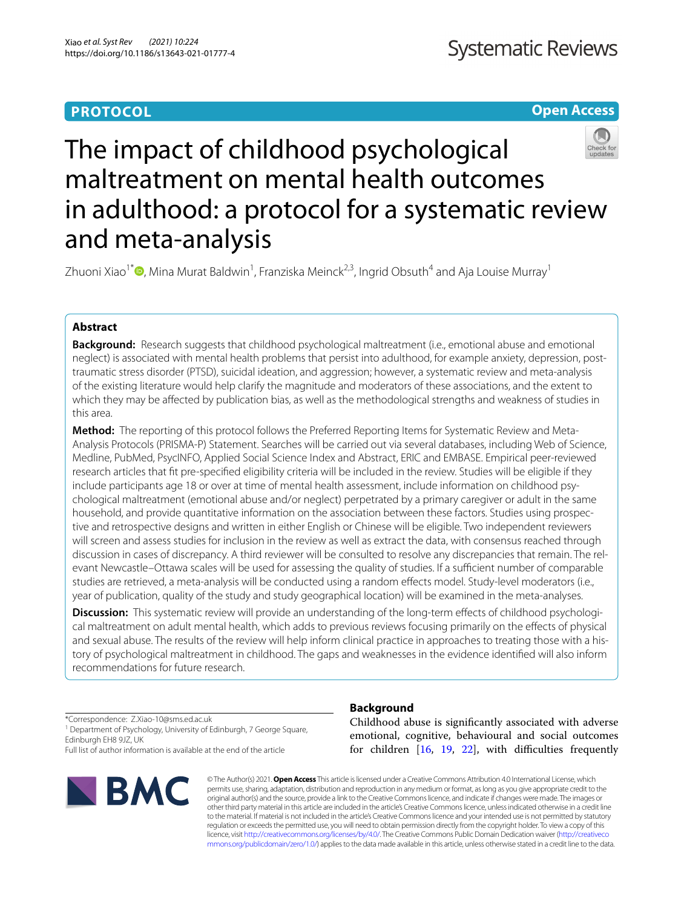# **PROTOCOL**

**Open Access**

# The impact of childhood psychological maltreatment on mental health outcomes in adulthood: a protocol for a systematic review and meta-analysis

Zhuoni Xiao<sup>1[\\*](http://orcid.org/0000-0002-9715-174X)</sup> (**)**, Mina Murat Baldwin<sup>1</sup>, Franziska Meinck<sup>2,3</sup>, Ingrid Obsuth<sup>4</sup> and Aja Louise Murray<sup>1</sup>

# **Abstract**

**Background:** Research suggests that childhood psychological maltreatment (i.e., emotional abuse and emotional neglect) is associated with mental health problems that persist into adulthood, for example anxiety, depression, posttraumatic stress disorder (PTSD), suicidal ideation, and aggression; however, a systematic review and meta-analysis of the existing literature would help clarify the magnitude and moderators of these associations, and the extent to which they may be afected by publication bias, as well as the methodological strengths and weakness of studies in this area.

**Method:** The reporting of this protocol follows the Preferred Reporting Items for Systematic Review and Meta-Analysis Protocols (PRISMA-P) Statement. Searches will be carried out via several databases, including Web of Science, Medline, PubMed, PsycINFO, Applied Social Science Index and Abstract, ERIC and EMBASE. Empirical peer-reviewed research articles that ft pre-specifed eligibility criteria will be included in the review. Studies will be eligible if they include participants age 18 or over at time of mental health assessment, include information on childhood psychological maltreatment (emotional abuse and/or neglect) perpetrated by a primary caregiver or adult in the same household, and provide quantitative information on the association between these factors. Studies using prospective and retrospective designs and written in either English or Chinese will be eligible. Two independent reviewers will screen and assess studies for inclusion in the review as well as extract the data, with consensus reached through discussion in cases of discrepancy. A third reviewer will be consulted to resolve any discrepancies that remain. The relevant Newcastle–Ottawa scales will be used for assessing the quality of studies. If a sufficient number of comparable studies are retrieved, a meta-analysis will be conducted using a random efects model. Study-level moderators (i.e., year of publication, quality of the study and study geographical location) will be examined in the meta-analyses.

**Discussion:** This systematic review will provide an understanding of the long-term effects of childhood psychological maltreatment on adult mental health, which adds to previous reviews focusing primarily on the efects of physical and sexual abuse. The results of the review will help inform clinical practice in approaches to treating those with a history of psychological maltreatment in childhood. The gaps and weaknesses in the evidence identifed will also inform recommendations for future research.

\*Correspondence: Z.Xiao-10@sms.ed.ac.uk

<sup>1</sup> Department of Psychology, University of Edinburgh, 7 George Square, Edinburgh EH8 9JZ, UK

Full list of author information is available at the end of the article



# **Background**

Childhood abuse is signifcantly associated with adverse emotional, cognitive, behavioural and social outcomes for children  $[16, 19, 22]$  $[16, 19, 22]$  $[16, 19, 22]$  $[16, 19, 22]$  $[16, 19, 22]$  $[16, 19, 22]$  $[16, 19, 22]$ , with difficulties frequently

© The Author(s) 2021. **Open Access** This article is licensed under a Creative Commons Attribution 4.0 International License, which permits use, sharing, adaptation, distribution and reproduction in any medium or format, as long as you give appropriate credit to the original author(s) and the source, provide a link to the Creative Commons licence, and indicate if changes were made. The images or other third party material in this article are included in the article's Creative Commons licence, unless indicated otherwise in a credit line to the material. If material is not included in the article's Creative Commons licence and your intended use is not permitted by statutory regulation or exceeds the permitted use, you will need to obtain permission directly from the copyright holder. To view a copy of this licence, visit [http://creativecommons.org/licenses/by/4.0/.](http://creativecommons.org/licenses/by/4.0/) The Creative Commons Public Domain Dedication waiver ([http://creativeco](http://creativecommons.org/publicdomain/zero/1.0/) [mmons.org/publicdomain/zero/1.0/](http://creativecommons.org/publicdomain/zero/1.0/)) applies to the data made available in this article, unless otherwise stated in a credit line to the data.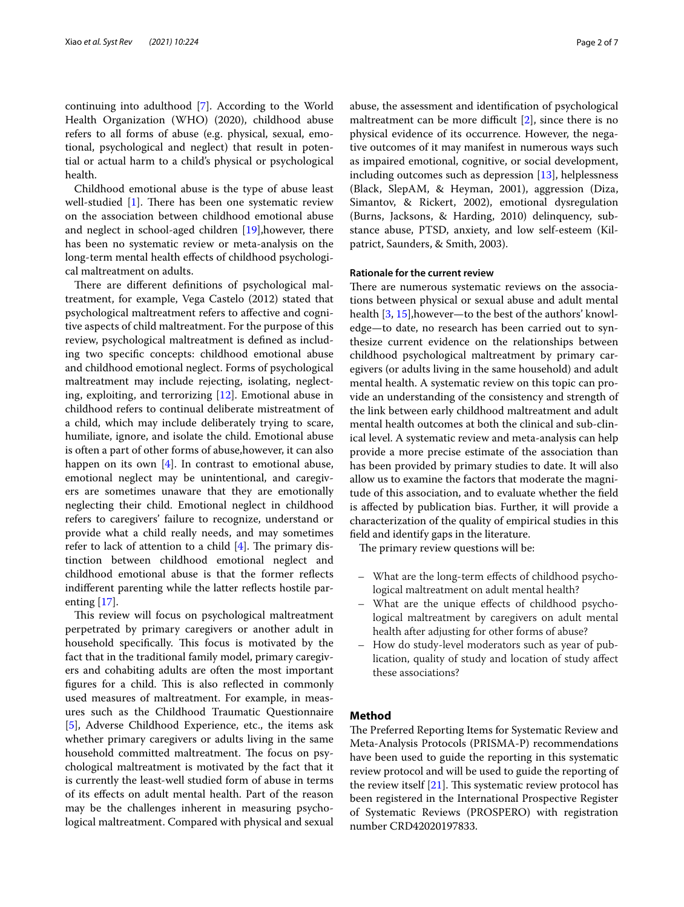continuing into adulthood [\[7](#page-5-3)]. According to the World Health Organization (WHO) (2020), childhood abuse refers to all forms of abuse (e.g. physical, sexual, emotional, psychological and neglect) that result in potential or actual harm to a child's physical or psychological health.

Childhood emotional abuse is the type of abuse least well-studied  $[1]$  $[1]$ . There has been one systematic review on the association between childhood emotional abuse and neglect in school-aged children [\[19\]](#page-5-1),however, there has been no systematic review or meta-analysis on the long-term mental health efects of childhood psychological maltreatment on adults.

There are different definitions of psychological maltreatment, for example, Vega Castelo (2012) stated that psychological maltreatment refers to afective and cognitive aspects of child maltreatment. For the purpose of this review, psychological maltreatment is defned as including two specifc concepts: childhood emotional abuse and childhood emotional neglect. Forms of psychological maltreatment may include rejecting, isolating, neglecting, exploiting, and terrorizing [\[12](#page-5-5)]. Emotional abuse in childhood refers to continual deliberate mistreatment of a child, which may include deliberately trying to scare, humiliate, ignore, and isolate the child. Emotional abuse is often a part of other forms of abuse,however, it can also happen on its own  $[4]$  $[4]$ . In contrast to emotional abuse, emotional neglect may be unintentional, and caregivers are sometimes unaware that they are emotionally neglecting their child. Emotional neglect in childhood refers to caregivers' failure to recognize, understand or provide what a child really needs, and may sometimes refer to lack of attention to a child  $[4]$  $[4]$ . The primary distinction between childhood emotional neglect and childhood emotional abuse is that the former refects indifferent parenting while the latter reflects hostile parenting [\[17\]](#page-5-7).

This review will focus on psychological maltreatment perpetrated by primary caregivers or another adult in household specifically. This focus is motivated by the fact that in the traditional family model, primary caregivers and cohabiting adults are often the most important figures for a child. This is also reflected in commonly used measures of maltreatment. For example, in measures such as the Childhood Traumatic Questionnaire [[5\]](#page-5-8), Adverse Childhood Experience, etc., the items ask whether primary caregivers or adults living in the same household committed maltreatment. The focus on psychological maltreatment is motivated by the fact that it is currently the least-well studied form of abuse in terms of its efects on adult mental health. Part of the reason may be the challenges inherent in measuring psychological maltreatment. Compared with physical and sexual

abuse, the assessment and identifcation of psychological maltreatment can be more difficult  $[2]$  $[2]$ , since there is no physical evidence of its occurrence. However, the negative outcomes of it may manifest in numerous ways such as impaired emotional, cognitive, or social development, including outcomes such as depression [[13\]](#page-5-10), helplessness (Black, SlepAM, & Heyman, 2001), aggression (Diza, Simantov, & Rickert, 2002), emotional dysregulation (Burns, Jacksons, & Harding, 2010) delinquency, substance abuse, PTSD, anxiety, and low self-esteem (Kilpatrict, Saunders, & Smith, 2003).

# **Rationale for the current review**

There are numerous systematic reviews on the associations between physical or sexual abuse and adult mental health [[3,](#page-5-11) [15\]](#page-5-12), however—to the best of the authors' knowledge—to date, no research has been carried out to synthesize current evidence on the relationships between childhood psychological maltreatment by primary caregivers (or adults living in the same household) and adult mental health. A systematic review on this topic can provide an understanding of the consistency and strength of the link between early childhood maltreatment and adult mental health outcomes at both the clinical and sub-clinical level. A systematic review and meta-analysis can help provide a more precise estimate of the association than has been provided by primary studies to date. It will also allow us to examine the factors that moderate the magnitude of this association, and to evaluate whether the feld is afected by publication bias. Further, it will provide a characterization of the quality of empirical studies in this feld and identify gaps in the literature.

The primary review questions will be:

- What are the long-term efects of childhood psychological maltreatment on adult mental health?
- What are the unique efects of childhood psychological maltreatment by caregivers on adult mental health after adjusting for other forms of abuse?
- How do study-level moderators such as year of publication, quality of study and location of study afect these associations?

#### **Method**

The Preferred Reporting Items for Systematic Review and Meta-Analysis Protocols (PRISMA-P) recommendations have been used to guide the reporting in this systematic review protocol and will be used to guide the reporting of the review itself  $[21]$  $[21]$ . This systematic review protocol has been registered in the International Prospective Register of Systematic Reviews (PROSPERO) with registration number CRD42020197833.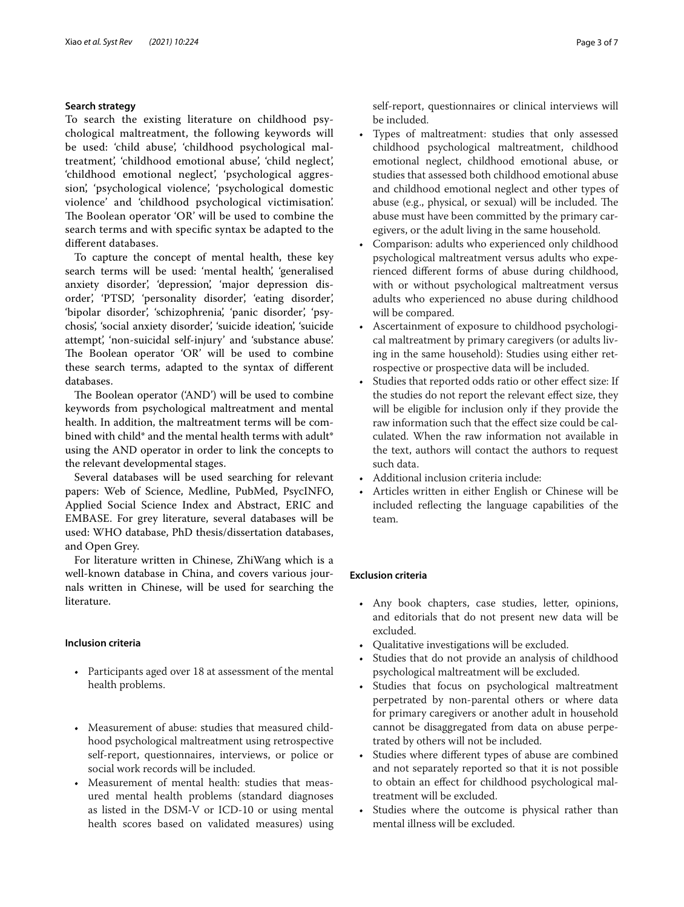# **Search strategy**

To search the existing literature on childhood psychological maltreatment, the following keywords will be used: 'child abuse', 'childhood psychological maltreatment', 'childhood emotional abuse', 'child neglect', 'childhood emotional neglect', 'psychological aggression', 'psychological violence', 'psychological domestic violence' and 'childhood psychological victimisation'. The Boolean operator 'OR' will be used to combine the search terms and with specifc syntax be adapted to the diferent databases.

To capture the concept of mental health, these key search terms will be used: 'mental health', 'generalised anxiety disorder', 'depression', 'major depression disorder', 'PTSD', 'personality disorder', 'eating disorder', 'bipolar disorder', 'schizophrenia', 'panic disorder', 'psychosis', 'social anxiety disorder', 'suicide ideation', 'suicide attempt', 'non-suicidal self-injury' and 'substance abuse'. The Boolean operator 'OR' will be used to combine these search terms, adapted to the syntax of diferent databases.

The Boolean operator ('AND') will be used to combine keywords from psychological maltreatment and mental health. In addition, the maltreatment terms will be combined with child<sup>\*</sup> and the mental health terms with adult<sup>\*</sup> using the AND operator in order to link the concepts to the relevant developmental stages.

Several databases will be used searching for relevant papers: Web of Science, Medline, PubMed, PsycINFO, Applied Social Science Index and Abstract, ERIC and EMBASE. For grey literature, several databases will be used: WHO database, PhD thesis/dissertation databases, and Open Grey.

For literature written in Chinese, ZhiWang which is a well-known database in China, and covers various journals written in Chinese, will be used for searching the literature.

# **Inclusion criteria**

- Participants aged over 18 at assessment of the mental health problems.
- Measurement of abuse: studies that measured childhood psychological maltreatment using retrospective self-report, questionnaires, interviews, or police or social work records will be included.
- Measurement of mental health: studies that measured mental health problems (standard diagnoses as listed in the DSM-V or ICD-10 or using mental health scores based on validated measures) using

self-report, questionnaires or clinical interviews will be included.

- Types of maltreatment: studies that only assessed childhood psychological maltreatment, childhood emotional neglect, childhood emotional abuse, or studies that assessed both childhood emotional abuse and childhood emotional neglect and other types of abuse (e.g., physical, or sexual) will be included. The abuse must have been committed by the primary caregivers, or the adult living in the same household.
- Comparison: adults who experienced only childhood psychological maltreatment versus adults who experienced diferent forms of abuse during childhood, with or without psychological maltreatment versus adults who experienced no abuse during childhood will be compared.
- Ascertainment of exposure to childhood psychological maltreatment by primary caregivers (or adults living in the same household): Studies using either retrospective or prospective data will be included.
- Studies that reported odds ratio or other effect size: If the studies do not report the relevant efect size, they will be eligible for inclusion only if they provide the raw information such that the efect size could be calculated. When the raw information not available in the text, authors will contact the authors to request such data.
- Additional inclusion criteria include:
- Articles written in either English or Chinese will be included refecting the language capabilities of the team.

# **Exclusion criteria**

- Any book chapters, case studies, letter, opinions, and editorials that do not present new data will be excluded.
- Qualitative investigations will be excluded.
- Studies that do not provide an analysis of childhood psychological maltreatment will be excluded.
- Studies that focus on psychological maltreatment perpetrated by non-parental others or where data for primary caregivers or another adult in household cannot be disaggregated from data on abuse perpetrated by others will not be included.
- Studies where diferent types of abuse are combined and not separately reported so that it is not possible to obtain an efect for childhood psychological maltreatment will be excluded.
- Studies where the outcome is physical rather than mental illness will be excluded.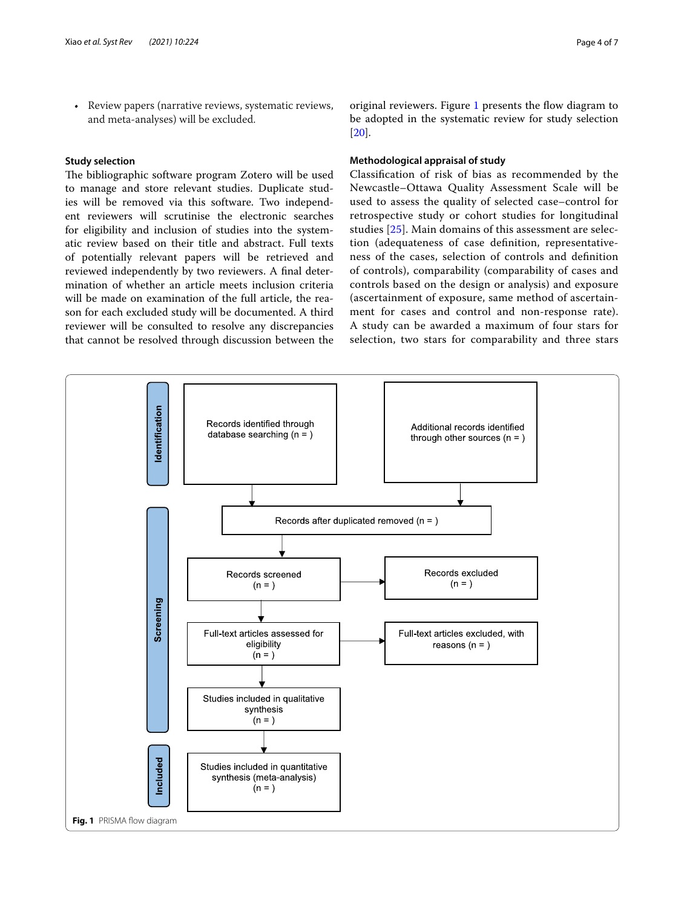• Review papers (narrative reviews, systematic reviews, and meta-analyses) will be excluded.

# **Study selection**

The bibliographic software program Zotero will be used to manage and store relevant studies. Duplicate studies will be removed via this software. Two independent reviewers will scrutinise the electronic searches for eligibility and inclusion of studies into the systematic review based on their title and abstract. Full texts of potentially relevant papers will be retrieved and reviewed independently by two reviewers. A fnal determination of whether an article meets inclusion criteria will be made on examination of the full article, the reason for each excluded study will be documented. A third reviewer will be consulted to resolve any discrepancies that cannot be resolved through discussion between the original reviewers. Figure [1](#page-3-0) presents the flow diagram to be adopted in the systematic review for study selection [[20\]](#page-5-14).

# **Methodological appraisal of study**

Classifcation of risk of bias as recommended by the Newcastle–Ottawa Quality Assessment Scale will be used to assess the quality of selected case–control for retrospective study or cohort studies for longitudinal studies [[25](#page-6-0)]. Main domains of this assessment are selection (adequateness of case defnition, representativeness of the cases, selection of controls and defnition of controls), comparability (comparability of cases and controls based on the design or analysis) and exposure (ascertainment of exposure, same method of ascertainment for cases and control and non-response rate). A study can be awarded a maximum of four stars for selection, two stars for comparability and three stars

<span id="page-3-0"></span>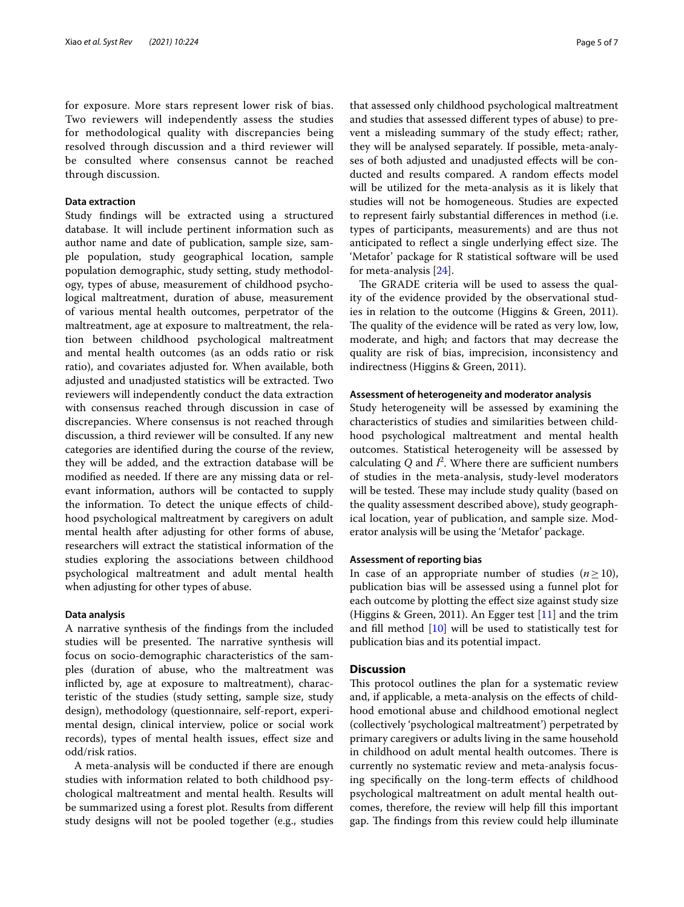for exposure. More stars represent lower risk of bias. Two reviewers will independently assess the studies for methodological quality with discrepancies being resolved through discussion and a third reviewer will be consulted where consensus cannot be reached through discussion.

#### **Data extraction**

Study fndings will be extracted using a structured database. It will include pertinent information such as author name and date of publication, sample size, sample population, study geographical location, sample population demographic, study setting, study methodology, types of abuse, measurement of childhood psychological maltreatment, duration of abuse, measurement of various mental health outcomes, perpetrator of the maltreatment, age at exposure to maltreatment, the relation between childhood psychological maltreatment and mental health outcomes (as an odds ratio or risk ratio), and covariates adjusted for. When available, both adjusted and unadjusted statistics will be extracted. Two reviewers will independently conduct the data extraction with consensus reached through discussion in case of discrepancies. Where consensus is not reached through discussion, a third reviewer will be consulted. If any new categories are identifed during the course of the review, they will be added, and the extraction database will be modifed as needed. If there are any missing data or relevant information, authors will be contacted to supply the information. To detect the unique efects of childhood psychological maltreatment by caregivers on adult mental health after adjusting for other forms of abuse, researchers will extract the statistical information of the studies exploring the associations between childhood psychological maltreatment and adult mental health when adjusting for other types of abuse.

#### **Data analysis**

A narrative synthesis of the fndings from the included studies will be presented. The narrative synthesis will focus on socio-demographic characteristics of the samples (duration of abuse, who the maltreatment was inficted by, age at exposure to maltreatment), characteristic of the studies (study setting, sample size, study design), methodology (questionnaire, self-report, experimental design, clinical interview, police or social work records), types of mental health issues, efect size and odd/risk ratios.

A meta-analysis will be conducted if there are enough studies with information related to both childhood psychological maltreatment and mental health. Results will be summarized using a forest plot. Results from diferent study designs will not be pooled together (e.g., studies that assessed only childhood psychological maltreatment and studies that assessed diferent types of abuse) to prevent a misleading summary of the study efect; rather, they will be analysed separately. If possible, meta-analyses of both adjusted and unadjusted efects will be conducted and results compared. A random efects model will be utilized for the meta-analysis as it is likely that studies will not be homogeneous. Studies are expected to represent fairly substantial diferences in method (i.e. types of participants, measurements) and are thus not anticipated to reflect a single underlying effect size. The 'Metafor' package for R statistical software will be used for meta-analysis [\[24](#page-5-15)].

The GRADE criteria will be used to assess the quality of the evidence provided by the observational studies in relation to the outcome (Higgins & Green, 2011). The quality of the evidence will be rated as very low, low, moderate, and high; and factors that may decrease the quality are risk of bias, imprecision, inconsistency and indirectness (Higgins & Green, 2011).

#### **Assessment of heterogeneity and moderator analysis**

Study heterogeneity will be assessed by examining the characteristics of studies and similarities between childhood psychological maltreatment and mental health outcomes. Statistical heterogeneity will be assessed by calculating  $Q$  and  $I^2$ . Where there are sufficient numbers of studies in the meta-analysis, study-level moderators will be tested. These may include study quality (based on the quality assessment described above), study geographical location, year of publication, and sample size. Moderator analysis will be using the 'Metafor' package.

## **Assessment of reporting bias**

In case of an appropriate number of studies  $(n \ge 10)$ , publication bias will be assessed using a funnel plot for each outcome by plotting the efect size against study size (Higgins & Green, 2011). An Egger test [\[11](#page-5-16)] and the trim and fll method [\[10](#page-5-17)] will be used to statistically test for publication bias and its potential impact.

#### **Discussion**

This protocol outlines the plan for a systematic review and, if applicable, a meta-analysis on the efects of childhood emotional abuse and childhood emotional neglect (collectively 'psychological maltreatment') perpetrated by primary caregivers or adults living in the same household in childhood on adult mental health outcomes. There is currently no systematic review and meta-analysis focusing specifcally on the long-term efects of childhood psychological maltreatment on adult mental health outcomes, therefore, the review will help fll this important gap. The findings from this review could help illuminate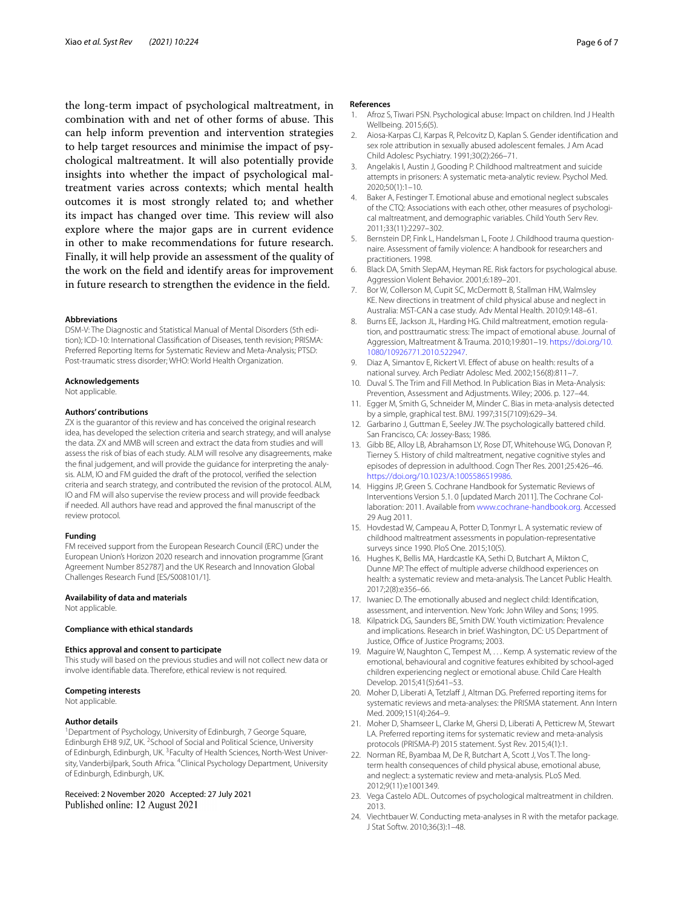the long-term impact of psychological maltreatment, in combination with and net of other forms of abuse. This can help inform prevention and intervention strategies to help target resources and minimise the impact of psychological maltreatment. It will also potentially provide insights into whether the impact of psychological maltreatment varies across contexts; which mental health outcomes it is most strongly related to; and whether its impact has changed over time. This review will also explore where the major gaps are in current evidence in other to make recommendations for future research. Finally, it will help provide an assessment of the quality of the work on the feld and identify areas for improvement in future research to strengthen the evidence in the feld.

#### **Abbreviations**

DSM-V: The Diagnostic and Statistical Manual of Mental Disorders (5th edition); ICD-10: International Classifcation of Diseases, tenth revision; PRISMA: Preferred Reporting Items for Systematic Review and Meta-Analysis; PTSD: Post-traumatic stress disorder; WHO: World Health Organization.

#### **Acknowledgements**

Not applicable.

#### **Authors' contributions**

ZX is the guarantor of this review and has conceived the original research idea, has developed the selection criteria and search strategy, and will analyse the data. ZX and MMB will screen and extract the data from studies and will assess the risk of bias of each study. ALM will resolve any disagreements, make the fnal judgement, and will provide the guidance for interpreting the analysis. ALM, IO and FM guided the draft of the protocol, verifed the selection criteria and search strategy, and contributed the revision of the protocol. ALM, IO and FM will also supervise the review process and will provide feedback if needed. All authors have read and approved the fnal manuscript of the review protocol.

#### **Funding**

FM received support from the European Research Council (ERC) under the European Union's Horizon 2020 research and innovation programme [Grant Agreement Number 852787] and the UK Research and Innovation Global Challenges Research Fund [ES/S008101/1].

#### **Availability of data and materials**

Not applicable.

#### **Compliance with ethical standards**

#### **Ethics approval and consent to participate**

This study will based on the previous studies and will not collect new data or involve identifable data. Therefore, ethical review is not required.

#### **Competing interests**

Not applicable.

#### **Author details**

<sup>1</sup> Department of Psychology, University of Edinburgh, 7 George Square, Edinburgh EH8 9JZ, UK. <sup>2</sup> School of Social and Political Science, University of Edinburgh, Edinburgh, UK. <sup>3</sup> Faculty of Health Sciences, North-West University, Vanderbijlpark, South Africa. <sup>4</sup>Clinical Psychology Department, University of Edinburgh, Edinburgh, UK.

Received: 2 November 2020 Accepted: 27 July 2021 Published online: 12 August 2021

#### **References**

- <span id="page-5-4"></span>1. Afroz S, Tiwari PSN. Psychological abuse: Impact on children. Ind J Health Wellbeing. 2015;6(5).
- <span id="page-5-9"></span>2. Aiosa-Karpas CJ, Karpas R, Pelcovitz D, Kaplan S. Gender identifcation and sex role attribution in sexually abused adolescent females. J Am Acad Child Adolesc Psychiatry. 1991;30(2):266–71.
- <span id="page-5-11"></span>3. Angelakis I, Austin J, Gooding P. Childhood maltreatment and suicide attempts in prisoners: A systematic meta-analytic review. Psychol Med. 2020;50(1):1–10.
- <span id="page-5-6"></span>4. Baker A, Festinger T. Emotional abuse and emotional neglect subscales of the CTQ: Associations with each other, other measures of psychological maltreatment, and demographic variables. Child Youth Serv Rev. 2011;33(11):2297–302.
- <span id="page-5-8"></span>5. Bernstein DP, Fink L, Handelsman L, Foote J. Childhood trauma questionnaire. Assessment of family violence: A handbook for researchers and practitioners. 1998.
- 6. Black DA, Smith SlepAM, Heyman RE. Risk factors for psychological abuse. Aggression Violent Behavior. 2001;6:189–201.
- <span id="page-5-3"></span>7. Bor W, Collerson M, Cupit SC, McDermott B, Stallman HM, Walmsley KE. New directions in treatment of child physical abuse and neglect in Australia: MST-CAN a case study. Adv Mental Health. 2010;9:148–61.
- 8. Burns EE, Jackson JL, Harding HG. Child maltreatment, emotion regulation, and posttraumatic stress: The impact of emotional abuse. Journal of Aggression, Maltreatment & Trauma. 2010;19:801–19. [https://doi.org/10.](https://doi.org/10.1080/10926771.2010.522947) [1080/10926771.2010.522947](https://doi.org/10.1080/10926771.2010.522947).
- 9. Diaz A, Simantov E, Rickert VI. Efect of abuse on health: results of a national survey. Arch Pediatr Adolesc Med. 2002;156(8):811–7.
- <span id="page-5-17"></span>10. Duval S. The Trim and Fill Method. In Publication Bias in Meta-Analysis: Prevention, Assessment and Adjustments. Wiley; 2006. p. 127–44.
- <span id="page-5-16"></span>11. Egger M, Smith G, Schneider M, Minder C. Bias in meta-analysis detected by a simple, graphical test. BMJ. 1997;315(7109):629–34.
- <span id="page-5-5"></span>12. Garbarino J, Guttman E, Seeley JW. The psychologically battered child. San Francisco, CA: Jossey-Bass; 1986.
- <span id="page-5-10"></span>13. Gibb BE, Alloy LB, Abrahamson LY, Rose DT, Whitehouse WG, Donovan P, Tierney S. History of child maltreatment, negative cognitive styles and episodes of depression in adulthood. Cogn Ther Res. 2001;25:426–46. [https://doi.org/10.1023/A:1005586519986.](https://doi.org/10.1023/A:1005586519986)
- 14. Higgins JP, Green S. Cochrane Handbook for Systematic Reviews of Interventions Version 5.1. 0 [updated March 2011]. The Cochrane Collaboration: 2011. Available from [www.cochrane-handbook.org.](https://www.cochrane-handbook.org) Accessed 29 Aug 2011.
- <span id="page-5-12"></span>15. Hovdestad W, Campeau A, Potter D, Tonmyr L. A systematic review of childhood maltreatment assessments in population-representative surveys since 1990. PloS One. 2015;10(5).
- <span id="page-5-0"></span>16. Hughes K, Bellis MA, Hardcastle KA, Sethi D, Butchart A, Mikton C, Dunne MP. The efect of multiple adverse childhood experiences on health: a systematic review and meta-analysis. The Lancet Public Health. 2017;2(8):e356–66.
- <span id="page-5-7"></span>17. Iwaniec D. The emotionally abused and neglect child: Identifcation, assessment, and intervention. New York: John Wiley and Sons; 1995.
- 18. Kilpatrick DG, Saunders BE, Smith DW. Youth victimization: Prevalence and implications. Research in brief. Washington, DC: US Department of Justice, Office of Justice Programs; 2003.
- <span id="page-5-1"></span>19. Maguire W, Naughton C, Tempest M, . . . Kemp. A systematic review of the emotional, behavioural and cognitive features exhibited by school‐aged children experiencing neglect or emotional abuse. Child Care Health Develop. 2015;41(5):641–53.
- <span id="page-5-14"></span>20. Moher D, Liberati A, Tetzlaff J, Altman DG. Preferred reporting items for systematic reviews and meta-analyses: the PRISMA statement. Ann Intern Med. 2009;151(4):264–9.
- <span id="page-5-13"></span>21. Moher D, Shamseer L, Clarke M, Ghersi D, Liberati A, Petticrew M, Stewart LA. Preferred reporting items for systematic review and meta-analysis protocols (PRISMA-P) 2015 statement. Syst Rev. 2015;4(1):1.
- <span id="page-5-2"></span>22. Norman RE, Byambaa M, De R, Butchart A, Scott J, Vos T. The longterm health consequences of child physical abuse, emotional abuse, and neglect: a systematic review and meta-analysis. PLoS Med. 2012;9(11):e1001349.
- 23. Vega Castelo ADL. Outcomes of psychological maltreatment in children. 2013.
- <span id="page-5-15"></span>24. Viechtbauer W. Conducting meta-analyses in R with the metafor package. J Stat Softw. 2010;36(3):1–48.